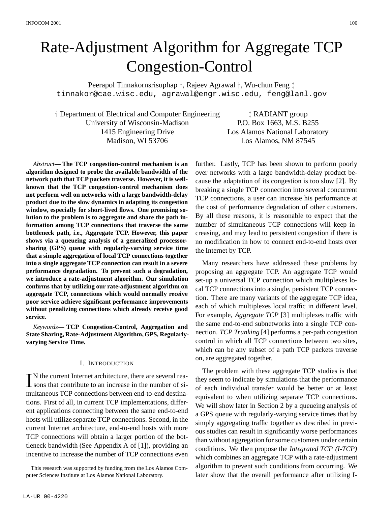# Rate-Adjustment Algorithm for Aggregate TCP Congestion-Control

Peerapol Tinnakornsrisuphap †, Rajeev Agrawal †, Wu-chun Feng ‡ tinnakor@cae.wisc.edu, agrawal@engr.wisc.edu, feng@lanl.gov

† Department of Electrical and Computer Engineering  $\qquad$  ‡ RADIANT group University of Wisconsin-Madison P.O. Box 1663, M.S. B255 1415 Engineering Drive Los Alamos National Laboratory Madison, WI 53706 Los Alamos, NM 87545

*Abstract***—The TCP congestion-control mechanism is an algorithm designed to probe the available bandwidth of the network path that TCP packets traverse. However, it is wellknown that the TCP congestion-control mechanism does not perform well on networks with a large bandwidth-delay product due to the slow dynamics in adapting its congestion window, especially for short-lived flows. One promising solution to the problem is to aggregate and share the path information among TCP connections that traverse the same bottleneck path, i.e., Aggregate TCP. However, this paper shows via a queueing analysis of a generalized processorsharing (GPS) queue with regularly-varying service time that a simple aggregation of local TCP connections together into a single aggregate TCP connection can result in a severe performance degradation. To prevent such a degradation, we introduce a rate-adjustment algorithm. Our simulation confirms that by utilizing our rate-adjustment algorithm on aggregate TCP, connections which would normally receive poor service achieve significant performance improvements without penalizing connections which already receive good service.**

*Keywords***— TCP Congestion-Control, Aggregation and State Sharing, Rate-Adjustment Algorithm, GPS, Regularlyvarying Service Time.**

# I. INTRODUCTION

TN the current Internet architecture, there are several rea- $\perp$  sons that contribute to an increase in the number of simultaneous TCP connections between end-to-end destinations. First of all, in current TCP implementations, different applications connecting between the same end-to-end hosts will utilize separate TCP connections. Second, in the current Internet architecture, end-to-end hosts with more TCP connections will obtain a larger portion of the bottleneck bandwidth (See Appendix A of [1]), providing an incentive to increase the number of TCP connections even

This research was supported by funding from the Los Alamos Computer Sciences Institute at Los Alamos National Laboratory.

further. Lastly, TCP has been shown to perform poorly over networks with a large bandwidth-delay product because the adaptation of its congestion is too slow [2]. By breaking a single TCP connection into several concurrent TCP connections, a user can increase his performance at the cost of performance degradation of other customers. By all these reasons, it is reasonable to expect that the number of simultaneous TCP connections will keep increasing, and may lead to persistent congestion if there is no modification in how to connect end-to-end hosts over the Internet by TCP.

Many researchers have addressed these problems by proposing an aggregate TCP. An aggregate TCP would set-up a universal TCP connection which multiplexes local TCP connections into a single, persistent TCP connection. There are many variants of the aggregate TCP idea, each of which multiplexes local traffic in different level. For example, *Aggregate TCP* [3] multiplexes traffic with the same end-to-end subnetworks into a single TCP connection. *TCP Trunking* [4] performs a per-path congestion control in which all TCP connections between two sites, which can be any subset of a path TCP packets traverse on, are aggregated together.

The problem with these aggregate TCP studies is that they seem to indicate by simulations that the performance of each individual transfer would be better or at least equivalent to when utilizing separate TCP connections. We will show later in Section 2 by a queueing analysis of a GPS queue with regularly-varying service times that by simply aggregating traffic together as described in previous studies can result in significantly worse performances than without aggregation forsome customers under certain conditions. We then propose the *Integrated TCP (I-TCP)* which combines an aggregate TCP with a rate-adjustment algorithm to prevent such conditions from occurring. We later show that the overall performance after utilizing I-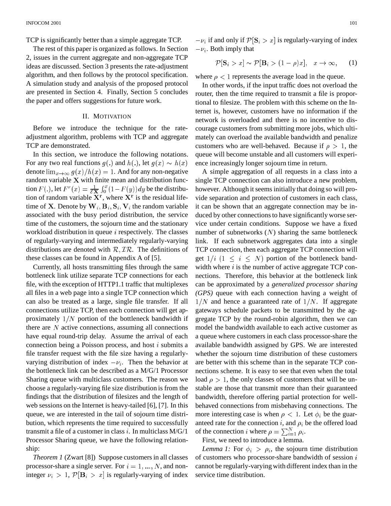TCP is significantly better than a simple aggregate TCP.

The rest of this paper is organized as follows. In Section 2, issues in the current aggregate and non-aggregate TCP ideas are discussed. Section 3 presents the rate-adjustment algorithm, and then follows by the protocol specification. A simulation study and analysis of the proposed protocol are presented in Section 4. Finally, Section 5 concludes the paper and offers suggestions for future work.

# II. MOTIVATION

Before we introduce the technique for the rateadjustment algorithm, problems with TCP and aggregate TCP are demonstrated.

In this section, we introduce the following notations. For any two real functions  $g(.)$  and  $h(.)$ , let  $g(x) \sim h(x)$ denote  $\lim_{x\to\infty} g(x)/h(x) = 1$ . And for any non-negative random variable  $X$  with finite mean and distribution function  $F(.)$ , let  $F^r(x) = \frac{1}{\epsilon \mathbf{X}} \int_0^x (1 - F(y)) dy$  be the distribution of random variable  $X^r$ , where  $X^r$  is the residual lifetime of **X**. Denote by  $W_i$ ,  $B_i$ ,  $S_i$ ,  $V_i$  the random variable associated with the busy period distribution, the service time of the customers, the sojourn time and the stationary workload distribution in queue  $i$  respectively. The classes of regularly-varying and intermediately regularly-varying distributions are denoted with  $\mathcal{R},\mathcal{I}\mathcal{R}$ . The definitions of these classes can be found in Appendix A of [5].

Currently, all hosts transmitting files through the same bottleneck link utilize separate TCP connections for each file, with the exception of HTTP1.1 traffic that multiplexes all files in a web page into a single TCP connection which can also be treated as a large, single file transfer. If all connections utilize TCP, then each connection will get approximately  $1/N$  portion of the bottleneck bandwidth if there are  $N$  active connections, assuming all connections have equal round-trip delay. Assume the arrival of each connection being a Poisson process, and host  $i$  submits a file transfer request with the file size having a regularlyvarying distribution of index  $-v_i$ . Then the behavior at the bottleneck link can be described as a M/G/1 Processor Sharing queue with multiclass customers. The reason we choose a regularly-varying file size distribution isfrom the findings that the distribution of filesizes and the length of web sessions on the Internet is heavy-tailed [6], [7]. In this queue, we are interested in the tail of sojourn time distribution, which represents the time required to successfully transmit a file of a customer in class  $i$ . In multiclass  $M/G/1$ Processor Sharing queue, we have the following relationship:

*Theorem 1* (Zwart [8]) Suppose customers in all classes processor-share a single server. For  $i = 1, ..., N$ , and noninteger  $\nu_i > 1$ ,  $\mathcal{P}[\mathbf{B}_i > x]$  is regularly-varying of index  $-v_i$  if and only if  $\mathcal{P}[\mathbf{S}_i > x]$  is regularly-varying of index  $-v_i$ . Both imply that

$$
\mathcal{P}[\mathbf{S}_i > x] \sim \mathcal{P}[\mathbf{B}_i > (1 - \rho)x], \quad x \to \infty,
$$
 (1)

where  $\rho$  < 1 represents the average load in the queue.

 $\alpha$ ) ence increasingly longer sojourn time in return. In other words, if the input traffic does not overload the router, then the time required to transmit a file is proportional to filesize. The problem with this scheme on the Internet is, however, customers have no information if the network is overloaded and there is no incentive to discourage customers from submitting more jobs, which ultimately can overload the available bandwidth and penalize customers who are well-behaved. Because if  $\rho > 1$ , the queue will become unstable and all customers will experi-

A simple aggregation of all requests in a class into a single TCP connection can also introduce a new problem, however. Although it seems initially that doing so will provide separation and protection of customers in each class, it can be shown that an aggregate connection may be induced by other connections to have significantly worse service under certain conditions. Suppose we have a fixed number of subnetworks  $(N)$  sharing the same bottleneck link. If each subnetwork aggregates data into a single TCP connection, then each aggregate TCP connection will get  $1/i$   $(1 \le i \le N)$  portion of the bottleneck bandwidth where  $i$  is the number of active aggregate TCP connections. Therefore, this behavior at the bottleneck link can be approximated by a *generalized processor sharing (GPS)* queue with each connection having a weight of  $1/N$  and hence a guaranteed rate of  $1/N$ . If aggregate gateways schedule packets to be transmitted by the aggregate TCP by the round-robin algorithm, then we can model the bandwidth available to each active customer as a queue where customers in each class processor-share the available bandwidth assigned by GPS. We are interested whether the sojourn time distribution of these customers are better with this scheme than in the separate TCP connections scheme. It is easy to see that even when the total load  $\rho > 1$ , the only classes of customers that will be unstable are those that transmit more than their guaranteed bandwidth, therefore offering partial protection for wellbehaved connections from misbehaving connections. The more interesting case is when  $\rho < 1$ . Let  $\phi_i$  be the guaranteed rate for the connection i, and  $\rho_i$  be the offered load of the connection i where  $\rho = \sum_{i=1}^{N} \rho_i$ .

First, we need to introduce a lemma.

*Lemma 1:* For  $\phi_i > \rho_i$ , the sojourn time distribution of customers who processor-share bandwidth of session  $i$ cannot be regularly-varying with different index than in the service time distribution.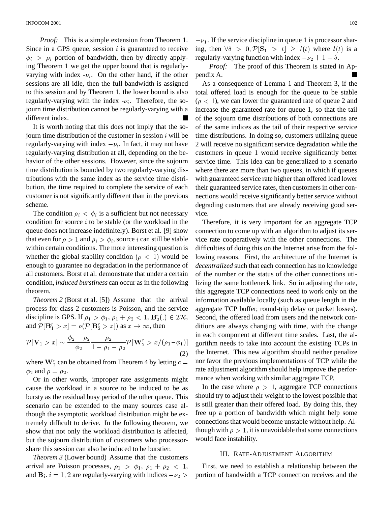*Proof:* This is a simple extension from Theorem 1. Since in a GPS queue, session  $i$  is guaranteed to receive  $\phi_i > \rho_i$  portion of bandwidth, then by directly applying Theorem 1 we get the upper bound that is regularlyvarying with index  $-v_i$ . On the other hand, if the other sessions are all idle, then the full bandwidth is assigned to this session and by Theorem 1, the lower bound is also regularly-varying with the index  $-v_i$ . Therefore, the sojourn time distribution cannot be regularly-varying with a different index.

It is worth noting that this does not imply that the sojourn time distribution of the customer in session  $i$  will be regularly-varying with index  $-v_i$ . In fact, it may not have regularly-varying distribution at all, depending on the behavior of the other sessions. However, since the sojourn time distribution is bounded by two regularly-varying distributions with the same index as the service time distribution, the time required to complete the service of each customer is not significantly different than in the previous scheme.

The condition  $\rho_i < \phi_i$  is a sufficient but not necessary condition for source  $i$  to be stable (or the workload in the queue does not increase indefinitely). Borst et al. [9] show that even for  $\rho>1$  and  $\rho_i>\phi_i$ , source i can still be stable within certain conditions. The more interesting question is whether the global stability condition  $(\rho < 1)$  would be enough to guarantee no degradation in the performance of all customers. Borst et al. demonstrate that under a certain condition, *induced burstiness* can occur as in the following theorem.

*Theorem* 2 (Borst et al. [5]) Assume that the arrival process for class 2 customers is Poisson, and the service discipline is GPS. If  $\rho_1 > \phi_1$ ,  $\rho_1 + \rho_2 < 1$ ,  $\mathbf{B}_2^r(.) \in \mathcal{IR}$ , and  $\mathcal{P}[\mathbf{B}_1^r > x] = o(\mathcal{P}[\mathbf{B}_2^r > x])$  as  $x \to \infty$ , then

$$
\mathcal{P}[\mathbf{V}_1 > x] \sim \frac{\phi_2 - \rho_2}{\phi_2} \frac{\rho_2}{1 - \rho_1 - \rho_2} \mathcal{P}[\mathbf{W}_2^r > x/(\rho_1 - \phi_1)] \begin{array}{c} n \\ g \end{array} (2)
$$

where  $\mathbf{W}_{2}^{r}$  can be obtained from Theorem 4 by letting  $c =$  nor favor the  $\phi_2$  and  $\rho = \rho_2$ .

Or in other words, improper rate assignments might cause the workload in a source to be induced to be as bursty as the residual busy period of the other queue. This scenario can be extended to the many sources case although the asymptotic workload distribution might be extremely difficult to derive. In the following theorem, we show that not only the workload distribution is affected, but the sojourn distribution of customers who processorshare this session can also be induced to be burstier.

*Theorem 3* (Lower bound) Assume that the customers arrival are Poisson processes,  $\rho_1 > \phi_1$ ,  $\rho_1 + \rho_2 < 1$ , First and  $\mathbf{B}_i$ ,  $i = 1, 2$  are regularly-varying with indices  $-\nu$ 

 $-\nu_1$ . If the service discipline in queue 1 is processor sharing, then  $\forall \delta > 0, \mathcal{P}[\mathbf{S_1} > t] \ge l(t)$  where  $l(t)$  is a regularly-varying function with index  $-\nu_2 + 1 - \delta$ .

*Proof:* The proof of this Theorem is stated in Appendix A.

As a consequence of Lemma 1 and Theorem 3, if the total offered load is enough for the queue to be stable  $(\rho < 1)$ , we can lower the guaranteed rate of queue 2 and increase the guaranteed rate for queue 1, so that the tail of the sojourn time distributions of both connections are of the same indices as the tail of their respective service time distributions. In doing so, customers utilizing queue 2 will receive no significant service degradation while the customers in queue 1 would receive significantly better service time. This idea can be generalized to a scenario where there are more than two queues, in which if queues with guaranteed service rate higher than offered load lower their guaranteed service rates, then customersin other connections would receive significantly better service without degrading customers that are already receiving good service.

) gorithm needs to take into account the existing TCPs in Therefore, it is very important for an aggregate TCP connection to come up with an algorithm to adjust its service rate cooperatively with the other connections. The difficulties of doing this on the Internet arise from the following reasons. First, the architecture of the Internet is *decentralized* such that each connection has no knowledge of the number or the status of the other connections utilizing the same bottleneck link. So in adjusting the rate, this aggregate TCP connections need to work only on the information available locally (such as queue length in the aggregate TCP buffer, round-trip delay or packet losses). Second, the offered load from users and the network conditions are always changing with time, with the change in each component at different time scales. Last, the althe Internet. This new algorithm should neither penalize nor favor the previous implementations of TCP while the rate adjustment algorithm should help improve the performance when working with similar aggregate TCP.

In the case where  $\rho > 1$ , aggregate TCP connections should try to adjust their weight to the lowest possible that is still greater than their offered load. By doing this, they free up a portion of bandwidth which might help some connections that would become unstable without help. Although with  $\rho > 1$ , it is unavoidable that some connections would face instability.

# III. RATE-ADJUSTMENT ALGORITHM

 $_2$  > portion of bandwidth a TCP connection receives and the First, we need to establish a relationship between the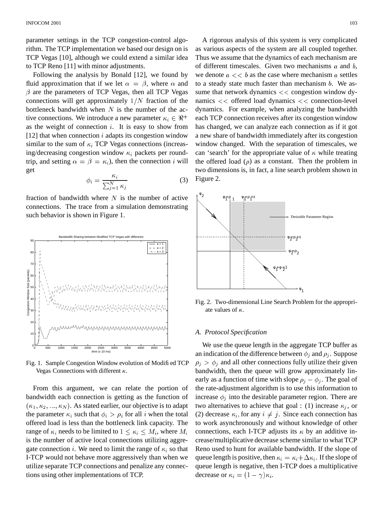parameter settings in the TCP congestion-control algorithm. The TCP implementation we based our design on is TCP Vegas [10], although we could extend a similar idea to TCP Reno [11] with minor adjustments.

Following the analysis by Bonald [12], we found by fluid approximation that if we let  $\alpha = \beta$ , where  $\alpha$  and to a  $\beta$  are the parameters of TCP Vegas, then all TCP Vegas connections will get approximately  $1/N$  fraction of the bottleneck bandwidth when  $N$  is the number of the active connections. We introduce a new parameter  $\kappa_i \in \Re^+$ as the weight of connection  $i$ . It is easy to show from [12] that when connection  $i$  adapts its congestion window similar to the sum of  $\kappa_i$  TCP Vegas connections (increasing/decreasing congestion window  $\kappa_i$  packets per roundtrip, and setting  $\alpha = \beta = \kappa_i$ ), then the connection *i* will get

$$
\phi_i = \frac{\kappa_i}{\sum_{j=1}^N \kappa_j} \tag{3}
$$

fraction of bandwidth where  $N$  is the number of active connections. The trace from a simulation demonstrating such behavior is shown in Figure 1.



Fig. 1. Sample Congestion Window evolution of Modified TCP Vegas Connections with different  $\kappa$ .

From this argument, we can relate the portion of bandwidth each connection is getting as the function of  $(\kappa_1, \kappa_2, ..., \kappa_N)$ . As stated earlier, our objective is to adapt the parameter  $\kappa_i$  such that  $\phi_i > \rho_i$  for all i when the total offered load is less than the bottleneck link capacity. The range of  $\kappa_i$  needs to be limited to  $1 \leq \kappa_i \leq M_i$ , where  $M_i$  co is the number of active local connections utilizing aggregate connection *i*. We need to limit the range of  $\kappa_i$  so that I-TCP would not behave more aggressively than when we utilize separate TCP connections and penalize any connections using other implementations of TCP.

 $i \in \Re^+$  each TCP connection receives after its congestion window A rigorous analysis of this system is very complicated as various aspects of the system are all coupled together. Thus we assume that the dynamics of each mechanism are of different timescales. Given two mechanisms  $a$  and  $b$ , we denote  $a \ll b$  as the case where mechanism a settles to a steady state much faster than mechanism  $b$ . We assume that network dynamics  $<<$  congestion window dynamics  $<<$  offered load dynamics  $<<$  connection-level dynamics. For example, when analyzing the bandwidth has changed, we can analyze each connection as if it got a new share of bandwidth immediately after its congestion window changed. With the separation of timescales, we can 'search' for the appropriate value of  $\kappa$  while treating the offered load  $(\rho)$  as a constant. Then the problem in two dimensions is, in fact, a line search problem shown in Figure 2.



Fig. 2. Two-dimensional Line Search Problem for the appropriate values of  $\kappa$ .

## *A. Protocol Specification*

We use the queue length in the aggregate TCP buffer as an indication of the difference between  $\phi_i$  and  $\rho_i$ . Suppose  $\rho_i > \phi_i$  and all other connections fully utilize their given bandwidth, then the queue will grow approximately linearly as a function of time with slope  $\rho_j - \phi_j$ . The goal of the rate-adjustment algorithm is to use this information to increase  $\phi_i$  into the desirable parameter region. There are two alternatives to achieve that goal : (1) increase  $\kappa_i$ , or (2) decrease  $\kappa_i$ , for any  $i \neq j$ . Since each connection has to work asynchronously and without knowledge of other connections, each I-TCP adjusts its  $\kappa$  by an additive increase/multiplicative decrease scheme similar to what TCP Reno used to hunt for available bandwidth. If the slope of queue length is positive, then  $\kappa_i = \kappa_i + \Delta \kappa_i$ . If the slope of queue length is negative, then I-TCP does a multiplicative decrease or  $\kappa_i = (1 - \gamma)\kappa_i$ .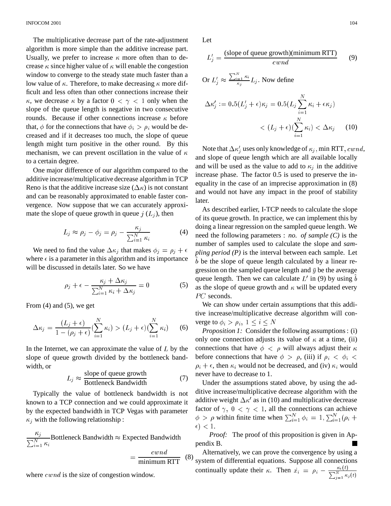The multiplicative decrease part of the rate-adjustment algorithm is more simple than the additive increase part. Usually, we prefer to increase  $\kappa$  more often than to decrease  $\kappa$  since higher value of  $\kappa$  will enable the congestion window to converge to the steady state much faster than a low value of  $\kappa$ . Therefore, to make decreasing  $\kappa$  more difficult and less often than other connections increase their  $\kappa$ , we decrease  $\kappa$  by a factor  $0 < \gamma < 1$  only when the slope of the queue length is negative in two consecutive rounds. Because if other connections increase  $\kappa$  before that,  $\phi$  for the connections that have  $\phi_i > \rho_i$  would be decreased and if it decreases too much, the slope of queue length might turn positive in the other round. By this mechanism, we can prevent oscillation in the value of  $\kappa$ to a certain degree.

One major difference of our algorithm compared to the additive increase/multiplicative decrease algorithm in TCP Reno is that the additive increase size  $(\Delta \kappa)$  is not constant and can be reasonably approximated to enable faster convergence. Now suppose that we can accurately approximate the slope of queue growth in queue  $j(L_i)$ , then

$$
L_j \approx \rho_j - \phi_j = \rho_j - \frac{\kappa_j}{\sum_{i=1}^N \kappa_i} \tag{4}
$$

We need to find the value  $\Delta \kappa_i$  that makes  $\phi_i = \rho_i + \epsilon_{nlin}$ where  $\epsilon$  is a parameter in this algorithm and its importance will be discussed in details later. So we have

$$
\rho_j + \epsilon - \frac{\kappa_j + \Delta \kappa_j}{\sum_{i=1}^N \kappa_i + \Delta \kappa_j} = 0 \tag{5}
$$

From (4) and (5), we get

$$
\Delta \kappa_j = \frac{(L_j + \epsilon)}{1 - (\rho_j + \epsilon)} \left( \sum_{i=1}^N \kappa_i \right) > (L_j + \epsilon) \left( \sum_{i=1}^N \kappa_i \right) \tag{6}
$$

In the Internet, we can approximate the value of  $L$  by the slope of queue growth divided by the bottleneck bandwidth, or

$$
L_j \approx \frac{\text{slope of queue growth}}{\text{Bottleneck Bandwidth}} \tag{7}
$$

Typically the value of bottleneck bandwidth is not known to a TCP connection and we could approximate it by the expected bandwidth in TCP Vegas with parameter  $\kappa_j$  with the following relationship:

 $\kappa_i$  - $\frac{n_j}{\sum_{i=1}^{N} K_i}$ Bottleneck Bandwidth  $\approx$  Expected Bandwidth  $\mathbf{r}$  and  $\mathbf{r}$ 

$$
= \frac{c w n a}{\text{minimum RTT}} \quad (8)
$$

where  $\operatorname{cwnd}$  is the size of congestion window.

Let

$$
L'_{j} = \frac{\text{(slope of queue growth)}(\text{minimum RTT})}{\text{cwnd}} \tag{9}
$$

Or  $L_i' \approx \frac{\sum_{i=1}^{n} n_i}{\sum_{i=1}^{n} L_i}$ . Now define and the contract of the contract of the contract of the contract of the contract of the contract of the contract of the contract of the contract of the contract of the contract of the contract of the contract of the contra

$$
\Delta \kappa'_j := 0.5(L'_j + \epsilon)\kappa_j = 0.5(L_j \sum_{i=1}^N \kappa_i + \epsilon \kappa_j)
$$
  

$$
< (L_j + \epsilon)(\sum_{i=1}^N \kappa_i) < \Delta \kappa_j \qquad (10)
$$

 and slope of queue length which are all available locally Note that  $\Delta \kappa'_{i}$  uses only knowledge of  $\kappa_{i}$ , min RTT,  $\mathit{cwnd}$ , and will be used as the value to add to  $\kappa_i$  in the additive increase phase. The factor 0.5 is used to preserve the inequality in the case of an imprecise approximation in (8) and would not have any impact in the proof of stability later.

As described earlier, I-TCP needs to calculate the slope of its queue growth. In practice, we can implement this by doing a linear regression on the sampled queue length. We need the following parameters : *no. of sample (C)* is the number of samples used to calculate the slope and *sampling period (P)* is the interval between each sample. Let  $\overline{b}$  be the slope of queue length calculated by a linear regression on the sampled queue length and  $\bar{y}$  be the average queue length. Then we can calculate  $L'$  in (9) by using  $\hat{b}$ as the slope of queue growth and  $\kappa$  will be updated every  $PC$  seconds.

We can show under certain assumptions that this additive increase/multiplicative decrease algorithm will converge to  $\phi_i > \rho_i$ ,  $1 \leq i \leq N$ 

*Proposition 1:* Consider the following assumptions: (i) only one connection adjusts its value of  $\kappa$  at a time, (ii) connections that have  $\phi \leq \rho$  will always adjust their  $\kappa$ before connections that have  $\phi > \rho$ , (iii) if  $\rho_i < \phi_i$  $\rho_i + \epsilon$ , then  $\kappa_i$  would not be decreased, and (iv)  $\kappa_i$  would never have to decrease to 1.

Under the assumptions stated above, by using the additive increase/multiplicative decrease algorithm with the additive weight  $\Delta \kappa'$  as in (10) and multiplicative decrease factor of  $\gamma$ ,  $0 < \gamma < 1$ , all the connections can achieve  $\phi > \rho$  within finite time when  $\sum_{i=1}^{N} \phi_i = 1, \sum_{i=1}^{N} (\rho_i + \sigma_i)$  $\epsilon$ ) < 1.

*Proof:* The proof of this proposition is given in Appendix B.

Alternatively, we can prove the convergence by using a system of differential equations. Suppose all connections continually update their  $\kappa$ . Then  $\dot{x}_i = \rho_i - \frac{\kappa_i(t)}{\sum_{i=1}^{N} \kappa_i(t)}$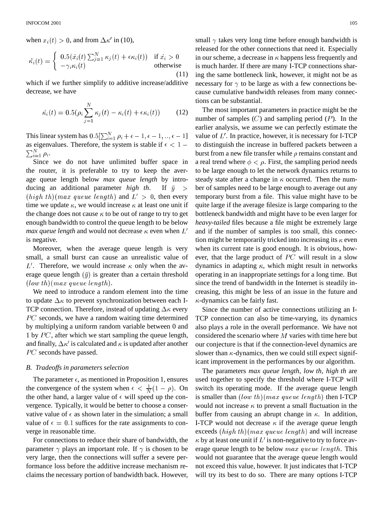when  $x_i(t) > 0$ , and from  $\Delta \kappa'$  in (10),

$$
\dot{\kappa_i}(t) = \begin{cases} 0.5(\dot{x_i}(t) \sum_{j=1}^N \kappa_j(t) + \epsilon \kappa_i(t)) & \text{if } \dot{x_i} > 0\\ -\gamma_i \kappa_i(t) & \text{otherwise} \end{cases}
$$
\n(11)

which if we further simplify to additive increase/additive decrease, we have

$$
\dot{\kappa_i}(t) = 0.5(\rho_i \sum_{j=1}^N \kappa_j(t) - \kappa_i(t) + \epsilon \kappa_i(t)) \tag{12}
$$

This linear system has  $0.5[\sum_{i=1}^{N} \rho_i + \epsilon - 1, \epsilon - 1, ..., \epsilon - 1]$  value as eigenvalues. Therefore, the system is stable if  $\epsilon < 1$  –  $\sum_{i=1}^{N} \rho_i$ .

Since we do not have unlimited buffer space in the router, it is preferable to try to keep the average queue length below *max queue length* by introducing an additional parameter *high th*. If  $\bar{y}$  >  $(highth)(max\ queue\ length)$  and  $L' > 0$ , then every time we update  $\kappa$ , we would increase  $\kappa$  at least one unit if the change does not cause  $\kappa$  to be out of range to try to get enough bandwidth to control the queue length to be below *max queue length* and would not decrease  $\kappa$  even when  $L'$  as is negative.

Moreover, when the average queue length is very small, a small burst can cause an unrealistic value of L'. Therefore, we would increase  $\kappa$  only when the average queue length  $(\bar{y})$  is greater than a certain threshold  $(low\ th) (max\ queue\ length).$ 

We need to introduce a random element into the time to update  $\Delta \kappa$  to prevent synchronization between each I-TCP connection. Therefore, instead of updating  $\Delta \kappa$  every Sing  $PC$  seconds, we have a random waiting time determined by multiplying a uniform random variable between 0 and 1 by  $PC$ , after which we start sampling the queue length, and finally,  $\Delta \kappa'$  is calculated and  $\kappa$  is updated after another  $PC$  seconds have passed.

#### *B. Tradeoffs in parameters selection*

The parameter  $\epsilon$ , as mentioned in Proposition 1, ensures the convergence of the system when  $\epsilon < \frac{1}{N}(1 - \rho)$ . On system the other hand, a larger value of  $\epsilon$  will speed up the convergence. Typically, it would be better to choose a conservative value of  $\epsilon$  as shown later in the simulation; a small value of  $\epsilon = 0.1$  suffices for the rate assignments to converge in reasonable time.

For connections to reduce their share of bandwidth, the parameter  $\gamma$  plays an important role. If  $\gamma$  is chosen to be very large, then the connections will suffer a severe performance loss before the additive increase mechanism reclaims the necessary portion of bandwidth back. However,

 $\mathbf{E}_i(t)$  if  $\dot{x}_i > 0$  in our scheme, a decrease in  $\kappa$  happens less frequently and small  $\gamma$  takes very long time before enough bandwidth is released for the other connections that need it. Especially is much harder. If there are many I-TCP connections sharing the same bottleneck link, however, it might not be as necessary for  $\gamma$  to be large as with a few connections because cumulative bandwidth releases from many connections can be substantial.

> The most important parameters in practice might be the number of samples  $(C)$  and sampling period  $(P)$ . In the earlier analysis, we assume we can perfectly estimate the value of  $L'$ . In practice, however, it is necessary for I-TCP to distinguish the increase in buffered packets between a burst from a new file transfer while  $\rho$  remains constant and a real trend where  $\phi < \rho$ . First, the sampling period needs to be large enough to let the network dynamics returns to steady state after a change in  $\kappa$  occurred. Then the number of samples need to be large enough to average out any temporary burst from a file. This value might have to be quite large if the average filesize is large comparing to the bottleneck bandwidth and might have to be even larger for *heavy-tailed* files because a file might be extremely large and if the number of samples is too small, this connection might be temporarily tricked into increasing its  $\kappa$  even when its current rate is good enough. It is obvious, however, that the large product of  $PC$  will result in a slow dynamics in adapting  $\kappa$ , which might result in networks operating in an inappropriate settings for a long time. But since the trend of bandwidth in the Internet is steadily increasing, this might be less of an issue in the future and  $\kappa$ -dynamics can be fairly fast.

Since the number of active connections utilizing an I-TCP connection can also be time-varying, its dynamics also plays a role in the overall performance. We have not considered the scenario where  $M$  varies with time here but our conjecture is that if the connection-level dynamics are slower than  $\kappa$ -dynamics, then we could still expect significant improvement in the performances by our algorithm.

The parameters *max queue length, low th, high th* are used together to specify the threshold where I-TCP will switch its operating mode. If the average queue length is smaller than  $(lowth)(max\ queue\ length)$  then I-TCP would not increase  $\kappa$  to prevent a small fluctuation in the buffer from causing an abrupt change in  $\kappa$ . In addition, I-TCP would not decrease  $\kappa$  if the average queue length exceeds  $(highth)(max queue length)$  and will increase  $\kappa$  by at least one unit if  $L'$  is non-negative to try to force average queue length to be below  $max$  queue length. This would not guarantee that the average queue length would not exceed this value, however. It just indicates that I-TCP will try its best to do so. There are many options I-TCP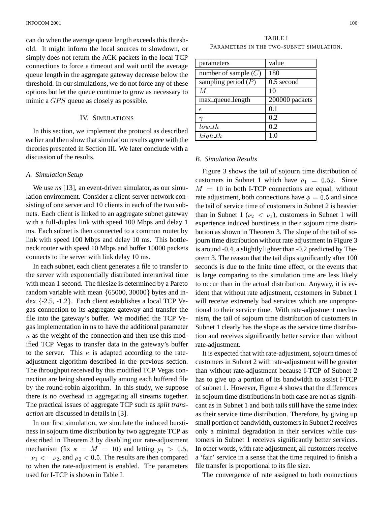can do when the average queue length exceeds this threshold. It might inform the local sources to slowdown, or simply does not return the ACK packets in the local TCP connections to force a timeout and wait until the average queue length in the aggregate gateway decrease below the threshold. In our simulations, we do not force any of these options but let the queue continue to grow as necessary to mimic a  $GPS$  queue as closely as possible.

## IV. SIMULATIONS

In this section, we implement the protocol as described earlier and then show that simulation results agree with the theories presented in Section III. We later conclude with a discussion of the results.

#### *A. Simulation Setup*

We use *ns* [13], an event-driven simulator, as our simulation environment. Consider a client-server network consisting of one server and 10 clients in each of the two subnets. Each client is linked to an aggregate subnet gateway with a full-duplex link with speed 100 Mbps and delay 1 ms. Each subnet is then connected to a common router by link with speed 100 Mbps and delay 10 ms. This bottleneck router with speed 10 Mbps and buffer 10000 packets connects to the server with link delay 10 ms.

In each subnet, each client generates a file to transfer to the server with exponentially distributed interarrival time with mean 1 second. The filesize is determined by a Pareto random variable with mean  $\{65000, 30000\}$  bytes and index  $\{-2.5, -1.2\}$ . Each client establishes a local TCP Vegas connection to its aggregate gateway and transfer the file into the gateway's buffer. We modified the TCP Vegas implementation in ns to have the additional parameter  $\kappa$  as the weight of the connection and then use this modified TCP Vegas to transfer data in the gateway's buffer to the server. This  $\kappa$  is adapted according to the rateadjustment algorithm described in the previous section. The throughput received by this modified TCP Vegas connection are being shared equally among each buffered file by the round-robin algorithm. In this study, we suppose there is no overhead in aggregating all streams together. The practical issues of aggregate TCP such as *split transaction* are discussed in details in [3].

In our first simulation, we simulate the induced burstiness in sojourn time distribution by two aggregate TCP as described in Theorem 3 by disabling our rate-adjustment mechanism (fix  $\kappa = M = 10$ ) and letting  $\rho_1 > 0.5$ , In oth to when the rate-adjustment is enabled. The parameters , and  $\rho_2 < 0.5$ . The results are then compared used for I-TCP is shown in Table I.

TABLE I PARAMETERS IN THE TWO-SUBNET SIMULATION.

| parameters             | value          |
|------------------------|----------------|
| number of sample $(C)$ | 180            |
| sampling period $(P)$  | $0.5$ second   |
| М                      | 10             |
| max_queue_length       | 200000 packets |
| F                      | 0.1            |
|                        | 0.2            |
| low th                 | 0.2            |
| $high\_th$             | 1.0            |

# *B. Simulation Results*

Figure 3 shows the tail of sojourn time distribution of customers in Subnet 1 which have  $\rho_1 = 0.52$ . Since  $M = 10$  in both I-TCP connections are equal, without rate adjustment, both connections have  $\phi=0.5$  and since the tail of service time of customers in Subnet 2 is heavier than in Subnet 1 ( $\nu_2 < \nu_1$ ), customers in Subnet 1 will experience induced burstiness in their sojourn time distribution as shown in Theorem 3. The slope of the tail of sojourn time distribution without rate adjustment in Figure 3 is around -0.4, a slightly lighter than -0.2 predicted by Theorem 3. The reason that the tail dips significantly after 100 seconds is due to the finite time effect, or the events that is large comparing to the simulation time are less likely to occur than in the actual distribution. Anyway, it is evident that without rate adjustment, customers in Subnet 1 will receive extremely bad services which are unproportional to their service time. With rate-adjustment mechanism, the tail of sojourn time distribution of customers in Subnet 1 clearly has the slope as the service time distribution and receives significantly better service than without rate-adjustment.

It is expected that with rate-adjustment, sojourn times of customers in Subnet 2 with rate-adjustment will be greater than without rate-adjustment because I-TCP of Subnet 2 has to give up a portion of its bandwidth to assist I-TCP of subnet 1. However, Figure 4 shows that the differences in sojourn time distributions in both case are not as significant as in Subnet 1 and both tails still have the same index as their service time distribution. Therefore, by giving up small portion of bandwidth, customers in Subnet 2 receives only a minimal degradation in their services while customers in Subnet 1 receives significantly better services. In other words, with rate adjustment, all customers receive a 'fair' service in a sense that the time required to finish a file transfer is proportional to its file size.

The convergence of rate assigned to both connections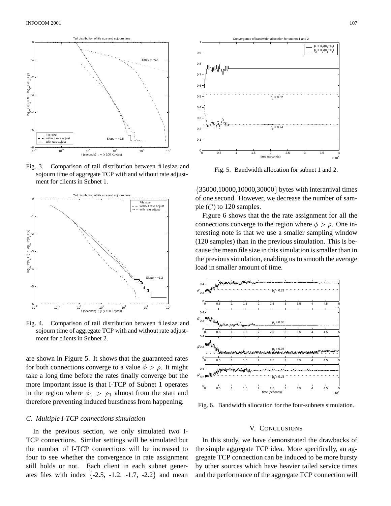

Fig. 3. Comparison of tail distribution between filesize and sojourn time of aggregate TCP with and without rate adjustment for clients in Subnet 1.



Fig. 4. Comparison of tail distribution between filesize and sojourn time of aggregate TCP with and without rate adjustment for clients in Subnet 2.

are shown in Figure 5. It shows that the guaranteed rates for both connections converge to a value  $\phi > \rho$ . It might take a long time before the rates finally converge but the more important issue is that I-TCP of Subnet 1 operates in the region where  $\phi_1 > \rho_1$  almost from the start and therefore preventing induced burstiness from happening.

## *C. Multiple I-TCP connectionssimulation*

In the previous section, we only simulated two I-TCP connections. Similar settings will be simulated but the number of I-TCP connections will be increased to four to see whether the convergence in rate assignment still holds or not. Each client in each subnet generates files with index  $\{-2.5, -1.2, -1.7, -2.2\}$  and mean



Fig. 5. Bandwidth allocation for subnet 1 and 2.

 35000,10000,10000,30000 bytes with interarrival times of one second. However, we decrease the number of sample  $(C)$  to 120 samples.

Figure 6 shows that the the rate assignment for all the connections converge to the region where  $\phi > \rho$ . One interesting note is that we use a smaller sampling window (120 samples) than in the previous simulation. This is because the mean file size in this simulation is smaller than in the previous simulation, enabling us to smooth the average load in smaller amount of time.



Fig. 6. Bandwidth allocation for the four-subnets simulation.

# V. CONCLUSIONS

In this study, we have demonstrated the drawbacks of the simple aggregate TCP idea. More specifically, an aggregate TCP connection can be induced to be more bursty by other sources which have heavier tailed service times and the performance of the aggregate TCP connection will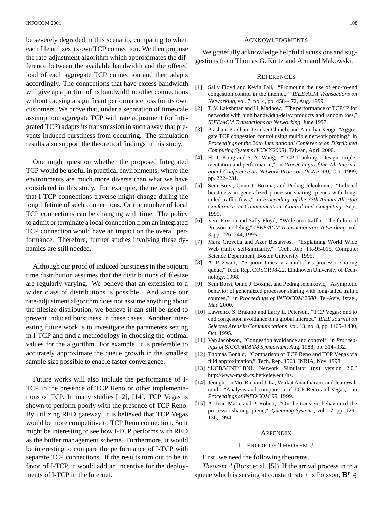be severely degraded in this scenario, comparing to when each file utilizes its own TCP connection. We then propose the rate-adjustment algorithm which approximates the difference between the available bandwidth and the offered load of each aggregate TCP connection and then adapts accordingly. The connections that have excess bandwidth will give up a portion of its bandwidth to other connections without causing a significant performance loss for its own customers. We prove that, under a separation of timescale assumption, aggregate TCP with rate adjustment (or Integrated TCP) adapts its transmission in such a way that prevents induced burstiness from occurring. The simulation results also support the theoretical findings in this study.

One might question whether the proposed Integrated TCP would be useful in practical environments, where the environments are much more diverse than what we have considered in this study. For example, the network path that I-TCP connections traverse might change during the long lifetime of such connections. Or the number of local TCP connections can be changing with time. The policy to admit or terminate a local connection from an Integrated TCP connection would have an impact on the overall performance. Therefore, further studies involving these dynamics are still needed.

Although our proof of induced burstinessin the sojourn time distribution assumes that the distributions of filesize are regularly-varying. We believe that an extension to a wider class of distributions is possible. And since our rate-adjustment algorithm does not assume anything about the filesize distribution, we believe it can still be used to prevent induced burstiness in these cases. Another interesting future work is to investigate the parameters setting in I-TCP and find a methodology in choosing the optimal values for the algorithm. For example, it is preferable to accurately approximate the queue growth in the smallest sample size possible to enable faster convergence.

Future works will also include the performance of I-TCP in the presence of TCP Reno or other implementations of TCP. In many studies [12], [14], TCP Vegas is shown to perform poorly with the presence of TCP Reno. By utilizing RED gateway, it is believed that TCP Vegas would be more competitive to TCP Reno connection. So it might be interesting to see how I-TCP performs with RED as the buffer management scheme. Furthermore, it would be interesting to compare the performance of I-TCP with separate TCP connections. If the results turn out to be in favor of I-TCP, it would add an incentive for the deployments of I-TCP in the Internet.

#### ACKNOWLEDGMENTS

We gratefully acknowledge helpful discussions and suggestionsfrom Thomas G. Kurtz and Armand Makowski.

#### **REFERENCES**

- [1] Sally Floyd and Kevin Fall, "Promoting the use of end-to-end congestion control in the internet," *IEEE/ACM Transactions on Networking*, vol. 7, no. 4, pp. 458–472, Aug. 1999.
- [2] T. V. Lakshman and U. Madhow, "The performance of TCP/IP for networks with high bandwidth-delay products and random loss," *IEEE/ACM Transactions on Networking*, June 1997.
- [3] Prashant Pradhan, Tzi cker Chiueh, and Anindya Neogi, "Aggregate TCP congestion control using multiple network probing," in *Proceedings of the 20th International Conference on Distributed Computing Systems (ICDCS2000)*, Taiwan, April 2000.
- [4] H. T. Kung and S. Y. Wang, "TCP Trunking: Design, implementation and performance," in *Proceedings of the 7th International Conference on Network Protocols (ICNP'99)*, Oct. 1999, pp. 222–231.
- [5] Sem Borst, Onno J. Boxma, and Pedrag Jelenkovic, "Induced burstiness in generalized processor sharing queues with longtailed traffic flows," in *Proceedings of the 37th Annual Allerton Conference on Communication, Control and Computing*, Sept. 1999.
- [6] Vern Paxson and Sally Floyd, "Wide area traffic: The failure of Poisson modeling," *IEEE/ACM Transactions on Networking*, vol. 3, pp. 226–244, 1995.
- [7] Mark Crovella and Azer Bestavros, "Explaining World Wide Web traffic self-similarity," Tech. Rep. TR-95-015, Computer Science Department, Boston University, 1995.
- [8] A. P. Zwart, "Sojourn times in a multiclass processor sharing queue," Tech. Rep. COSOR98-22, Eindhoven University of Technology, 1998.
- [9] Sem Borst, Onno J. Boxma, and Pedrag Jelenkovic, "Asymptotic behavior of generalized processor sharing with long-tailed traffic sources," in *Proceedings of INFOCOM'2000*, Tel-Aviv, Israel, Mar. 2000.
- [10] Lawrence S. Brakmo and Larry L. Peterson, "TCP Vegas: end to end congestion avoidance on a global internet," *IEEE Journal on Selected Areas in Communications*, vol. 13, no. 8, pp. 1465–1480, Oct. 1995.
- [11] Van Jacobson, "Congestion avoidance and control," in *Proceedings of SIGCOMM'88 Symposium*, Aug. 1988, pp. 314–332.
- [12] Thomas Bonald, "Comparison of TCP Reno and TCP Vegas via fluid approximation," Tech. Rep. 3563, INRIA, Nov. 1998.
- [13] "UCB/VINT/LBNL Network Simulator (ns) version 2.0," http://www-mash.cs.berkeley.edu/ns.
- [14] JeonghoonMo, Richard J. La, Venkat Anantharam, and Jean Walrand, "Analysis and comparison of TCP Reno and Vegas," in *Proceedings of INFOCOM'99*, 1999.
- [15] A. Jean-Marie and P. Robert, "On the transient behavior of the processor sharing queue," *Queueing Systems*, vol. 17, pp. 129– 136, 1994.

#### APPENDIX

#### I. PROOF OF THEOREM 3

First, we need the following theorems.

*Theorem 4* (Borst et al. [5]) If the arrival process in to a queue which is serving at constant rate c is Poisson,  $B^r \in$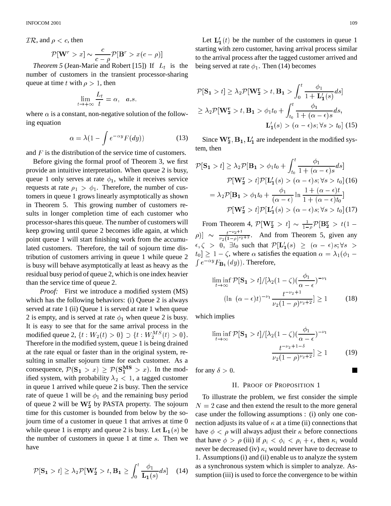$TR$ , and  $\rho < c$ , then

$$
\mathcal{P}[\mathbf{W}^r > x] \sim \frac{c}{c - \rho} \mathcal{P}[\mathbf{B}^r > x(c - \rho)]
$$

*Theorem* 5 (Jean-Marie and Robert [15]) If  $L_t$  is the number of customers in the transient processor-sharing queue at time t with  $\rho > 1$ , then

$$
\lim_{t \to +\infty} \frac{L_t}{t} = \alpha, \quad a.s.
$$

where  $\alpha$  is a constant, non-negative solution of the following equation

$$
\alpha = \lambda (1 - \int e^{-\alpha y} F(dy)) \tag{13}
$$

and  $F$  is the distribution of the service time of customers.

Before giving the formal proof of Theorem 3, we first provide an intuitive interpretation. When queue 2 is busy, queue 1 only serves at rate  $\phi_1$ , while it receives service requests at rate  $\rho_1 > \phi_1$ . Therefore, the number of cus- $\frac{1}{1}$  tomers in queue 1 grows linearly asymptotically as shown in Theorem 5. This growing number of customers results in longer completion time of each customer who processor-shares this queue. The number of customers will keep growing until queue 2 becomes idle again, at which point queue 1 will start finishing work from the accumulated customers. Therefore, the tail of sojourn time distribution of customers arriving in queue 1 while queue 2 is busy will behave asymptotically at least as heavy as the residual busy period of queue 2, which is one index heavier than the service time of queue 2.

*Proof:* First we introduce a modified system (MS) which has the following behaviors: (i) Queue 2 is always served at rate 1 (ii) Queue 1 is served at rate 1 when queue 2 is empty, and is served at rate  $\phi_1$  when queue 2 is busy. It is easy to see that for the same arrival process in the modified queue 2,  $\{t: W_2(t) > 0\} \supset \{t: W_2^{MS}(t) > 0\}.$ Therefore in the modified system, queue 1 is being drained at the rate equal or faster than in the original system, resulting in smaller sojourn time for each customer. As a consequence,  $\mathcal{P}(S_1 > x) \geq \mathcal{P}(S_1^{MS} > x)$ . In the modified system, with probability  $\lambda_2 < 1$ , a tagged customer in queue 1 arrived while queue 2 is busy. Then the service rate of queue 1 will be  $\phi_1$  and the remaining busy period of queue 2 will be  $W_2^r$  by PASTA property. The sojourn time for this customer is bounded from below by the sojourn time of a customer in queue 1 that arrives at time 0 while queue 1 is empty and queue 2 is busy. Let  $L_1(s)$  be the number of customers in queue 1 at time  $s$ . Then we have

$$
\mathcal{P}[\mathbf{S_1} > t] \ge \lambda_2 \mathcal{P}[\mathbf{W_2^r} > t, \mathbf{B_1} \ge \int_0^t \frac{\phi_1}{\mathbf{L_1}(s)} ds] \quad (14)
$$

Let  $\mathbf{L}'_1(t)$  be the number of the customers in queue 1 starting with zero customer, having arrival process similar to the arrival process after the tagged customer arrived and being served at rate  $\phi_1$ . Then (14) becomes

$$
\mathcal{P}[\mathbf{S_1} > t] \ge \lambda_2 \mathcal{P}[\mathbf{W_2^r} > t, \mathbf{B_1} > \int_0^t \frac{\phi_1}{1 + \mathbf{L_1'}(s)} ds]
$$
  
\n
$$
\ge \lambda_2 \mathcal{P}[\mathbf{W_2^r} > t, \mathbf{B_1} > \phi_1 t_0 + \int_{t_0}^t \frac{\phi_1}{1 + (\alpha - \epsilon)s} ds,
$$
  
\n
$$
\mathbf{L_1'}(s) > (\alpha - \epsilon)s; \forall s > t_0 \text{ (15)}
$$

Since  $W_2^r$ ,  $B_1$ ,  $L'_1$  are independent in the modified system, then

$$
\mathcal{P}[\mathbf{S_1} > t] \ge \lambda_2 \mathcal{P}[\mathbf{B_1} > \phi_1 t_0 + \int_{t_0}^t \frac{\phi_1}{1 + (\alpha - \epsilon)s} ds]
$$

$$
\mathcal{P}[\mathbf{W_2^r} > t] \mathcal{P}[\mathbf{L_1'}(s) > (\alpha - \epsilon)s; \forall s > t_0] \text{ (16)}
$$

$$
= \lambda_2 \mathcal{P}[\mathbf{B_1} > \phi_1 t_0 + \frac{\phi_1}{(\alpha - \epsilon)} \ln \frac{1 + (\alpha - \epsilon)t}{1 + (\alpha - \epsilon)t_0}]
$$

$$
\mathcal{P}[\mathbf{W_2^r} > t] \mathcal{P}[\mathbf{L_1'}(s) > (\alpha - \epsilon)s; \forall s > t_0] \text{ (17)}
$$

From Theorem 4,  $\mathcal{P}[\mathbf{W}_{2}^{r} > t] \sim \frac{1}{1-\delta} \mathcal{P}[\mathbf{B}_{2}^{r} > t]$  $1-\rho$   $\mu$   $2 \times \nu$  $[\rho]] \sim \frac{t^{-\nu_2+1}}{\nu_2(1-\rho)^{\nu_2+2}}$ . And from Theorem 5, given any  $\epsilon, \zeta > 0, \exists t_0$  such that  $\mathcal{P}[\mathbf{L}'_1(s) \geq (\alpha - \epsilon)s; \forall s >$  $[t_0] \geq 1 - \zeta$ , where  $\alpha$  satisfies the equation  $\alpha = \lambda_1$ p\* <sup>1</sup>  $\int e^{-\alpha y} F_{\mathbf{B}_1}(dy)$ . Therefore,

$$
\liminf_{t \to \infty} \mathcal{P}[\mathbf{S}_1 > t] / \left[ \lambda_2 (1 - \zeta) \left( \frac{\phi_1}{\alpha - \epsilon} \right)^{-\nu_1} \right]
$$
\n
$$
\left( \ln \left( \alpha - \epsilon \right) t \right)^{-\nu_1} \frac{t^{-\nu_2 + 1}}{\nu_2 (1 - \rho)^{\nu_2 + 2}} \ge 1 \tag{18}
$$

which implies

$$
\liminf_{t \to \infty} \mathcal{P}[\mathbf{S_1} > t] / [\lambda_2 (1 - \zeta) (\frac{\phi_1}{\alpha - \epsilon})^{-\nu_1}
$$

$$
\frac{t^{-\nu_2 + 1 - \delta}}{\nu_2 (1 - \rho)^{\nu_2 + 2}}] \ge 1
$$
(19)

for any  $\delta > 0$ .

#### II. PROOF OF PROPOSITION 1

To illustrate the problem, we first consider the simple  $N = 2$  case and then extend the result to the more general case under the following assumptions : (i) only one connection adjusts its value of  $\kappa$  at a time (ii) connections that have  $\phi < \rho$  will always adjust their  $\kappa$  before connections that have  $\phi > \rho$  (iii) if  $\rho_i < \phi_i < \rho_i + \epsilon$ , then  $\kappa_i$  would never be decreased (iv)  $\kappa_i$  would never have to decrease to 1. Assumptions(i) and (ii) enable us to analyze the system as a synchronous system which is simpler to analyze. Assumption (iii) is used to force the convergence to be within

H